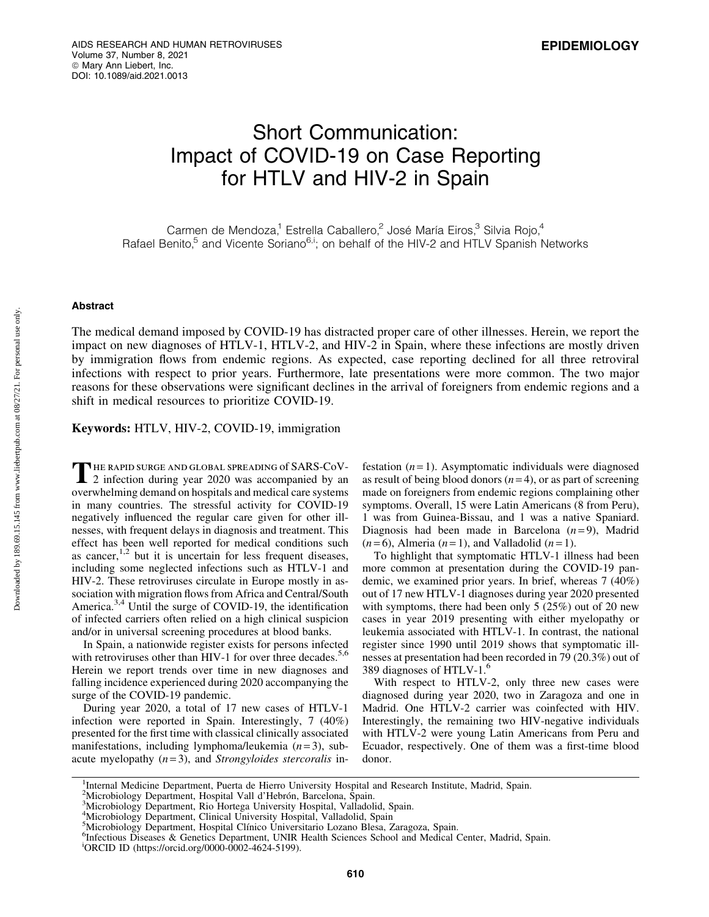# Short Communication: Impact of COVID-19 on Case Reporting for HTLV and HIV-2 in Spain

Carmen de Mendoza,<sup>1</sup> Estrella Caballero,<sup>2</sup> José María Eiros,<sup>3</sup> Silvia Rojo,<sup>4</sup> Rafael Benito,<sup>5</sup> and Vicente Soriano<sup>6,i</sup>; on behalf of the HIV-2 and HTLV Spanish Networks

## Abstract

The medical demand imposed by COVID-19 has distracted proper care of other illnesses. Herein, we report the impact on new diagnoses of HTLV-1, HTLV-2, and HIV-2 in Spain, where these infections are mostly driven by immigration flows from endemic regions. As expected, case reporting declined for all three retroviral infections with respect to prior years. Furthermore, late presentations were more common. The two major reasons for these observations were significant declines in the arrival of foreigners from endemic regions and a shift in medical resources to prioritize COVID-19.

Keywords: HTLV, HIV-2, COVID-19, immigration

THE RAPID SURGE AND GLOBAL SPREADING of SARS-CoV-<br>2 infection during year 2020 was accompanied by an overwhelming demand on hospitals and medical care systems in many countries. The stressful activity for COVID-19 negatively influenced the regular care given for other illnesses, with frequent delays in diagnosis and treatment. This effect has been well reported for medical conditions such as cancer,  $1,2$  but it is uncertain for less frequent diseases, including some neglected infections such as HTLV-1 and HIV-2. These retroviruses circulate in Europe mostly in association with migration flows from Africa and Central/South America.<sup>3,4</sup> Until the surge of COVID-19, the identification of infected carriers often relied on a high clinical suspicion and/or in universal screening procedures at blood banks.

In Spain, a nationwide register exists for persons infected with retroviruses other than HIV-1 for over three decades.<sup>5,6</sup> Herein we report trends over time in new diagnoses and falling incidence experienced during 2020 accompanying the surge of the COVID-19 pandemic.

During year 2020, a total of 17 new cases of HTLV-1 infection were reported in Spain. Interestingly, 7 (40%) presented for the first time with classical clinically associated manifestations, including lymphoma/leukemia (*n* = 3), subacute myelopathy (*n* = 3), and *Strongyloides stercoralis* infestation  $(n=1)$ . Asymptomatic individuals were diagnosed as result of being blood donors  $(n=4)$ , or as part of screening made on foreigners from endemic regions complaining other symptoms. Overall, 15 were Latin Americans (8 from Peru), 1 was from Guinea-Bissau, and 1 was a native Spaniard. Diagnosis had been made in Barcelona  $(n=9)$ , Madrid  $(n=6)$ , Almeria  $(n=1)$ , and Valladolid  $(n=1)$ .

To highlight that symptomatic HTLV-1 illness had been more common at presentation during the COVID-19 pandemic, we examined prior years. In brief, whereas 7 (40%) out of 17 new HTLV-1 diagnoses during year 2020 presented with symptoms, there had been only 5 (25%) out of 20 new cases in year 2019 presenting with either myelopathy or leukemia associated with HTLV-1. In contrast, the national register since 1990 until 2019 shows that symptomatic illnesses at presentation had been recorded in 79 (20.3%) out of 389 diagnoses of HTLV-1.<sup>6</sup>

With respect to HTLV-2, only three new cases were diagnosed during year 2020, two in Zaragoza and one in Madrid. One HTLV-2 carrier was coinfected with HIV. Interestingly, the remaining two HIV-negative individuals with HTLV-2 were young Latin Americans from Peru and Ecuador, respectively. One of them was a first-time blood donor.

<sup>&</sup>lt;sup>1</sup>Internal Medicine Department, Puerta de Hierro University Hospital and Research Institute, Madrid, Spain.

<sup>&</sup>lt;sup>2</sup>Microbiology Department, Hospital Vall d'Hebrón, Barcelona, Spain.<br><sup>3</sup>Microbiology Department, Bio Hortega University Hospital, Valladol

Microbiology Department, Rio Hortega University Hospital, Valladolid, Spain.

<sup>4</sup> Microbiology Department, Clinical University Hospital, Valladolid, Spain

<sup>&</sup>lt;sup>5</sup>Microbiology Department, Hospital Clínico Universitario Lozano Blesa, Zaragoza, Spain.<br><sup>6</sup>Infectious Diseases & Genetics Department JINIP Health Sciences School and Medical (

<sup>&</sup>lt;sup>6</sup>Infectious Diseases & Genetics Department, UNIR Health Sciences School and Medical Center, Madrid, Spain.

i ORCID ID (https://orcid.org/0000-0002-4624-5199).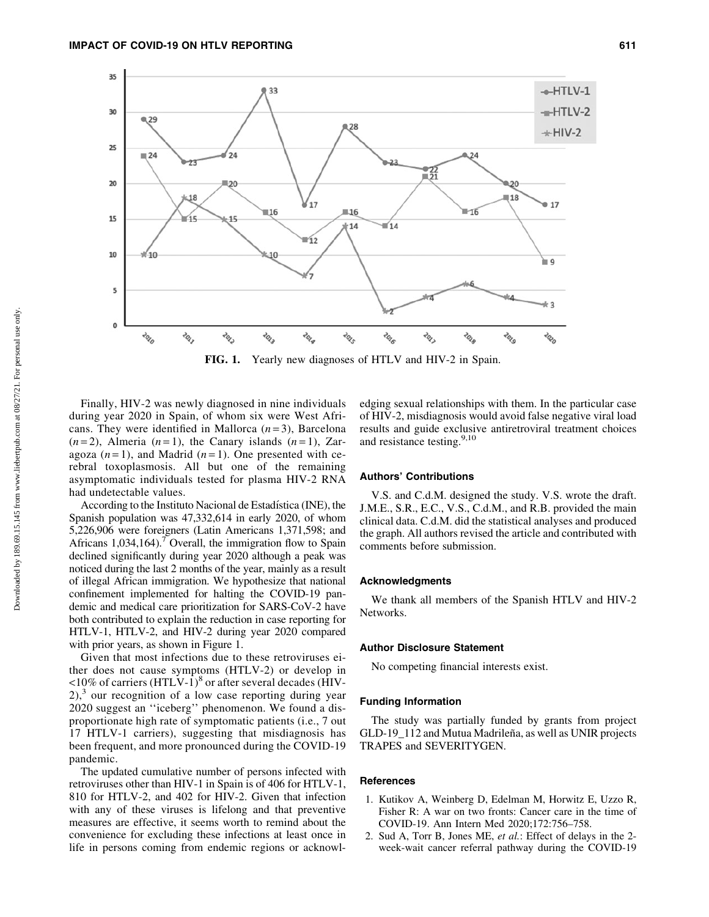

FIG. 1. Yearly new diagnoses of HTLV and HIV-2 in Spain.

Finally, HIV-2 was newly diagnosed in nine individuals during year 2020 in Spain, of whom six were West Africans. They were identified in Mallorca  $(n=3)$ , Barcelona  $(n=2)$ , Almeria  $(n=1)$ , the Canary islands  $(n=1)$ , Zaragoza  $(n=1)$ , and Madrid  $(n=1)$ . One presented with cerebral toxoplasmosis. All but one of the remaining asymptomatic individuals tested for plasma HIV-2 RNA had undetectable values.

According to the Instituto Nacional de Estadística (INE), the Spanish population was 47,332,614 in early 2020, of whom 5,226,906 were foreigners (Latin Americans 1,371,598; and Africans  $1,034,164$ .<sup>7</sup> Overall, the immigration flow to Spain declined significantly during year 2020 although a peak was noticed during the last 2 months of the year, mainly as a result of illegal African immigration. We hypothesize that national confinement implemented for halting the COVID-19 pandemic and medical care prioritization for SARS-CoV-2 have both contributed to explain the reduction in case reporting for HTLV-1, HTLV-2, and HIV-2 during year 2020 compared with prior years, as shown in Figure 1.

Given that most infections due to these retroviruses either does not cause symptoms (HTLV-2) or develop in  $\langle 10\%$  of carriers (HTLV-1)<sup>8</sup> or after several decades (HIV- $2$ ,<sup>3</sup> our recognition of a low case reporting during year 2020 suggest an ''iceberg'' phenomenon. We found a disproportionate high rate of symptomatic patients (i.e., 7 out 17 HTLV-1 carriers), suggesting that misdiagnosis has been frequent, and more pronounced during the COVID-19 pandemic.

The updated cumulative number of persons infected with retroviruses other than HIV-1 in Spain is of 406 for HTLV-1, 810 for HTLV-2, and 402 for HIV-2. Given that infection with any of these viruses is lifelong and that preventive measures are effective, it seems worth to remind about the convenience for excluding these infections at least once in life in persons coming from endemic regions or acknowledging sexual relationships with them. In the particular case of HIV-2, misdiagnosis would avoid false negative viral load results and guide exclusive antiretroviral treatment choices and resistance testing.<sup>9,10</sup>

### Authors' Contributions

V.S. and C.d.M. designed the study. V.S. wrote the draft. J.M.E., S.R., E.C., V.S., C.d.M., and R.B. provided the main clinical data. C.d.M. did the statistical analyses and produced the graph. All authors revised the article and contributed with comments before submission.

## Acknowledgments

We thank all members of the Spanish HTLV and HIV-2 Networks.

### Author Disclosure Statement

No competing financial interests exist.

## Funding Information

The study was partially funded by grants from project GLD-19\_112 and Mutua Madrileña, as well as UNIR projects TRAPES and SEVERITYGEN.

#### **References**

- 1. Kutikov A, Weinberg D, Edelman M, Horwitz E, Uzzo R, Fisher R: A war on two fronts: Cancer care in the time of COVID-19. Ann Intern Med 2020;172:756–758.
- 2. Sud A, Torr B, Jones ME, *et al.*: Effect of delays in the 2 week-wait cancer referral pathway during the COVID-19